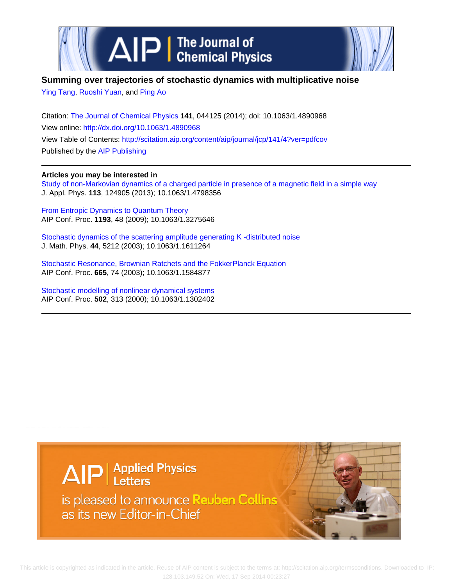

# **Summing over trajectories of stochastic dynamics with multiplicative noise**

[Ying Tang,](http://scitation.aip.org/search?value1=Ying+Tang&option1=author) [Ruoshi Yuan](http://scitation.aip.org/search?value1=Ruoshi+Yuan&option1=author), and [Ping Ao](http://scitation.aip.org/search?value1=Ping+Ao&option1=author)

Citation: [The Journal of Chemical Physics](http://scitation.aip.org/content/aip/journal/jcp?ver=pdfcov) **141**, 044125 (2014); doi: 10.1063/1.4890968 View online: <http://dx.doi.org/10.1063/1.4890968> View Table of Contents: <http://scitation.aip.org/content/aip/journal/jcp/141/4?ver=pdfcov> Published by the [AIP Publishing](http://scitation.aip.org/content/aip?ver=pdfcov)

# **Articles you may be interested in**

[Study of non-Markovian dynamics of a charged particle in presence of a magnetic field in a simple way](http://scitation.aip.org/content/aip/journal/jap/113/12/10.1063/1.4798356?ver=pdfcov) J. Appl. Phys. **113**, 124905 (2013); 10.1063/1.4798356

[From Entropic Dynamics to Quantum Theory](http://scitation.aip.org/content/aip/proceeding/aipcp/10.1063/1.3275646?ver=pdfcov) AIP Conf. Proc. **1193**, 48 (2009); 10.1063/1.3275646

[Stochastic dynamics of the scattering amplitude generating K -distributed noise](http://scitation.aip.org/content/aip/journal/jmp/44/11/10.1063/1.1611264?ver=pdfcov) J. Math. Phys. **44**, 5212 (2003); 10.1063/1.1611264

[Stochastic Resonance, Brownian Ratchets and the FokkerPlanck Equation](http://scitation.aip.org/content/aip/proceeding/aipcp/10.1063/1.1584877?ver=pdfcov) AIP Conf. Proc. **665**, 74 (2003); 10.1063/1.1584877

[Stochastic modelling of nonlinear dynamical systems](http://scitation.aip.org/content/aip/proceeding/aipcp/10.1063/1.1302402?ver=pdfcov) AIP Conf. Proc. **502**, 313 (2000); 10.1063/1.1302402

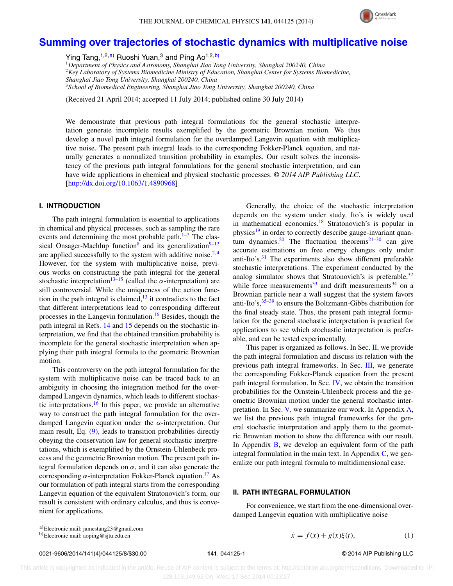

# **[Summing over trajectories of stochastic dynamics with multiplicative noise](http://dx.doi.org/10.1063/1.4890968)**

Ying Tang,<sup>1,2[,a\)](#page-1-0)</sup> Ruoshi Yuan,<sup>3</sup> and Ping Ao<sup>1,2[,b\)](#page-1-1)</sup>

<sup>1</sup>*Department of Physics and Astronomy, Shanghai Jiao Tong University, Shanghai 200240, China* <sup>2</sup>*Key Laboratory of Systems Biomedicine Ministry of Education, Shanghai Center for Systems Biomedicine, Shanghai Jiao Tong University, Shanghai 200240, China*

<sup>3</sup>*School of Biomedical Engineering, Shanghai Jiao Tong University, Shanghai 200240, China*

(Received 21 April 2014; accepted 11 July 2014; published online 30 July 2014)

We demonstrate that previous path integral formulations for the general stochastic interpretation generate incomplete results exemplified by the geometric Brownian motion. We thus develop a novel path integral formulation for the overdamped Langevin equation with multiplicative noise. The present path integral leads to the corresponding Fokker-Planck equation, and naturally generates a normalized transition probability in examples. Our result solves the inconsistency of the previous path integral formulations for the general stochastic interpretation, and can have wide applications in chemical and physical stochastic processes. *© 2014 AIP Publishing LLC*. [\[http://dx.doi.org/10.1063/1.4890968\]](http://dx.doi.org/10.1063/1.4890968)

# **I. INTRODUCTION**

The path integral formulation is essential to applications in chemical and physical processes, such as sampling the rare events and determining the most probable path. $1-7$  $1-7$  The clas-sical Onsager-Machlup function<sup>[8](#page-7-2)</sup> and its generalization<sup>9–[12](#page-7-4)</sup> are applied successfully to the system with additive noise.<sup>[2,](#page-7-5)[4](#page-7-6)</sup> However, for the system with multiplicative noise, previous works on constructing the path integral for the general stochastic interpretation<sup>13[–15](#page-7-8)</sup> (called the  $\alpha$ -interpretation) are still controversial. While the uniqueness of the action function in the path integral is claimed, $13$  it contradicts to the fact that different interpretations lead to corresponding different processes in the Langevin formulation.<sup>[16](#page-7-9)</sup> Besides, though the path integral in Refs. [14](#page-7-10) and [15](#page-7-8) depends on the stochastic interpretation, we find that the obtained transition probability is incomplete for the general stochastic interpretation when applying their path integral formula to the geometric Brownian motion.

This controversy on the path integral formulation for the system with multiplicative noise can be traced back to an ambiguity in choosing the integration method for the overdamped Langevin dynamics, which leads to different stochastic interpretations[.16](#page-7-9) In this paper, we provide an alternative way to construct the path integral formulation for the overdamped Langevin equation under the *α*-interpretation. Our main result, Eq. [\(9\),](#page-2-0) leads to transition probabilities directly obeying the conservation law for general stochastic interpretations, which is exemplified by the Ornstein-Uhlenbeck process and the geometric Brownian motion. The present path integral formulation depends on *α*, and it can also generate the corresponding *α*-interpretation Fokker-Planck equation.[17](#page-7-11) As our formulation of path integral starts from the corresponding Langevin equation of the equivalent Stratonovich's form, our result is consistent with ordinary calculus, and thus is convenient for applications.

Generally, the choice of the stochastic interpretation depends on the system under study. Ito's is widely used in mathematical economics.<sup>[18](#page-7-12)</sup> Stratonovich's is popular in physics<sup>[19](#page-7-13)</sup> in order to correctly describe gauge-invariant quan-tum dynamics.<sup>20</sup> The fluctuation theorems<sup>21–[30](#page-8-0)</sup> can give accurate estimations on free energy changes only under anti-Ito's.<sup>31</sup> The experiments also show different preferable stochastic interpretations. The experiment conducted by the analog simulator shows that Stratonovich's is preferable,<sup>[32](#page-8-2)</sup> while force measurements<sup>33</sup> and drift measurements<sup>34</sup> on a Brownian particle near a wall suggest that the system favors anti-Ito's,  $35-39$  to ensure the Boltzmann-Gibbs distribution for the final steady state. Thus, the present path integral formulation for the general stochastic interpretation is practical for applications to see which stochastic interpretation is preferable, and can be tested experimentally.

This paper is organized as follows. In Sec. [II,](#page-1-2) we provide the path integral formulation and discuss its relation with the previous path integral frameworks. In Sec. [III,](#page-3-0) we generate the corresponding Fokker-Planck equation from the present path integral formulation. In Sec. [IV,](#page-3-1) we obtain the transition probabilities for the Ornstein-Uhlenbeck process and the geometric Brownian motion under the general stochastic interpretation. In Sec. [V,](#page-4-0) we summarize our work. In Appendix [A,](#page-5-0) we list the previous path integral frameworks for the general stochastic interpretation and apply them to the geometric Brownian motion to show the difference with our result. In Appendix  $\bf{B}$ , we develop an equivalent form of the path integral formulation in the main text. In Appendix  $C$ , we generalize our path integral formula to multidimensional case.

# <span id="page-1-2"></span>**II. PATH INTEGRAL FORMULATION**

For convenience, we start from the one-dimensional overdamped Langevin equation with multiplicative noise

0021-9606/2014/141(4)/044125/8/\$30.00 **141**, 044125-1 © 2014 AIP Publishing LLC

<span id="page-1-3"></span>

 $\dot{x} = f(x) + g(x)\xi(t),$  (1)

<span id="page-1-0"></span>a)Electronic mail: [jamestang23@gmail.com](mailto: jamestang23@gmail.com)

<span id="page-1-1"></span>b)Electronic mail: [aoping@sjtu.edu.cn](mailto: aoping@sjtu.edu.cn)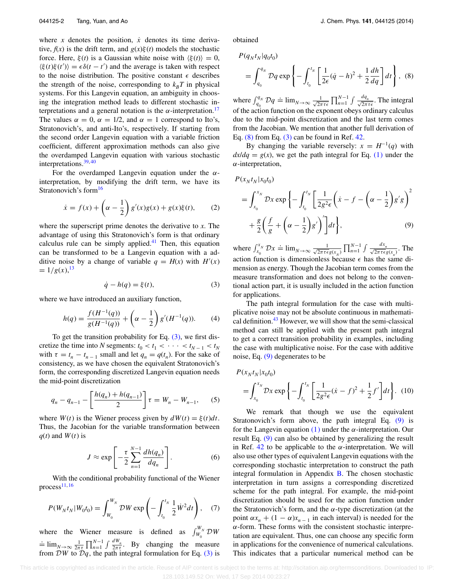where  $x$  denotes the position,  $\dot{x}$  denotes its time derivative,  $f(x)$  is the drift term, and  $g(x)\xi(t)$  models the stochastic force. Here,  $\xi(t)$  is a Gaussian white noise with  $\langle \xi(t) \rangle = 0$ ,  $\langle \xi(t)\xi(t') \rangle = \epsilon \delta(t - t')$  and the average is taken with respect to the noise distribution. The positive constant  $\epsilon$  describes the strength of the noise, corresponding to  $k_B T$  in physical systems. For this Langevin equation, an ambiguity in choosing the integration method leads to different stochastic interpretations and a general notation is the  $\alpha$ -interpretation.<sup>[17](#page-7-11)</sup> The values  $\alpha = 0$ ,  $\alpha = 1/2$ , and  $\alpha = 1$  correspond to Ito's, Stratonovich's, and anti-Ito's, respectively. If starting from the second order Langevin equation with a variable friction coefficient, different approximation methods can also give the overdamped Langevin equation with various stochastic interpretations.  $39,40$  $39,40$ 

For the overdamped Langevin equation under the *α*interpretation, by modifying the drift term, we have its Stratonovich's form<sup>[16](#page-7-9)</sup>

$$
\dot{x} = f(x) + \left(\alpha - \frac{1}{2}\right)g'(x)g(x) + g(x)\xi(t),\tag{2}
$$

where the superscript prime denotes the derivative to *x*. The advantage of using this Stratonovich's form is that ordinary calculus rule can be simply applied. $41$  Then, this equation can be transformed to be a Langevin equation with a additive noise by a change of variable  $q = H(x)$  with  $H'(x)$  $= 1/g(x),$ <sup>[13](#page-7-7)</sup>

$$
\dot{q} - h(q) = \xi(t),\tag{3}
$$

where we have introduced an auxiliary function,

$$
h(q) = \frac{f(H^{-1}(q))}{g(H^{-1}(q))} + \left(\alpha - \frac{1}{2}\right) g'(H^{-1}(q)).
$$
 (4)

To get the transition probability for Eq.  $(3)$ , we first discretize the time into *N* segments:  $t_0 < t_1 < \cdots < t_{N-1} < t_N$ with  $\tau = t_n - t_{n-1}$  small and let  $q_n = q(t_n)$ . For the sake of consistency, as we have chosen the equivalent Stratonovich's form, the corresponding discretized Langevin equation needs the mid-point discretization

$$
q_n - q_{n-1} - \left[ \frac{h(q_n) + h(q_{n-1})}{2} \right] \tau = W_n - W_{n-1}, \quad (5)
$$

where  $W(t)$  is the Wiener process given by  $dW(t) = \xi(t)dt$ . Thus, the Jacobian for the variable transformation between  $q(t)$  and  $W(t)$  is

$$
J \approx \exp\left[-\frac{\tau}{2}\sum_{n=1}^{N-1}\frac{dh(q_n)}{dq_n}\right].
$$
 (6)

With the conditional probability functional of the Wiener process $11, 16$  $11, 16$  $11, 16$ 

$$
P(W_N t_N | W_0 t_0) = \int_{W_0}^{W_N} \mathcal{D}W \exp\left(-\int_{t_0}^{t_N} \frac{1}{2} \dot{W}^2 dt\right), \quad (7)
$$

where the Wiener measure is defined as  $\int_{W_0}^{W_N} \mathcal{D}W$  $\frac{1}{2\pi i}$   $\prod_{n=1}^{N-1} \int \frac{dW_n}{2\pi i}$ . By changing the measure from  $DW$  to  $Dq$ , the path integral formulation for Eq. [\(3\)](#page-2-1) is obtained

<span id="page-2-2"></span>
$$
P(q_Nt_N|q_0t_0)
$$

$$
= \int_{q_0}^{q_N} Dq \exp\left\{-\int_{t_0}^{t_N} \left[\frac{1}{2\epsilon}(\dot{q}-h)^2 + \frac{1}{2}\frac{dh}{dq}\right]dt\right\}, \tag{8}
$$

where  $\int_{q_0}^{q_N} \mathcal{D}q \doteq \lim_{N \to \infty} \frac{1}{\sqrt{2\pi}}$  $\frac{1}{2\pi\tau\epsilon}$   $\prod_{n=1}^{N-1}$   $\int \frac{dq_n}{\sqrt{2\pi\tau\epsilon}}$ . The integral of the action function on the exponent obeys ordinary calculus due to the mid-point discretization and the last term comes from the Jacobian. We mention that another full derivation of Eq.  $(8)$  from Eq.  $(3)$  can be found in Ref. [42.](#page-8-9)

By changing the variable reversely:  $x = H^{-1}(q)$  with  $dx/dq = g(x)$ , we get the path integral for Eq. [\(1\)](#page-1-3) under the *α*-interpretation,

<span id="page-2-0"></span>
$$
P(x_N t_N | x_0 t_0)
$$
  
= 
$$
\int_{x_0}^{x_N} \mathcal{D}x \exp \left\{-\int_{t_0}^{t_N} \left[\frac{1}{2g^2 \epsilon} \left(\dot{x} - f - \left(\alpha - \frac{1}{2}\right) g' g\right)^2 + \frac{g}{2} \left(\frac{f}{g} + \left(\alpha - \frac{1}{2}\right) g'\right)'\right] dt\right\},
$$
 (9)

where  $\int_{x_0}^{x_N} \mathcal{D}x \doteq \lim_{N \to \infty} \frac{1}{\sqrt{2\pi \tau \epsilon}}$  $\frac{1}{2\pi\tau\epsilon g(x_N)}$   $\prod_{n=1}^{N-1} \int \frac{dx_n}{\sqrt{2\pi\tau\epsilon g(x_n)}}$ . The action function is dimensionless because  $\epsilon$  has the same dimension as energy. Though the Jacobian term comes from the measure transformation and does not belong to the conventional action part, it is usually included in the action function for applications.

<span id="page-2-1"></span>The path integral formulation for the case with multiplicative noise may not be absolute continuous in mathematical definition.[43](#page-8-10) However, we will show that the semi-classical method can still be applied with the present path integral to get a correct transition probability in examples, including the case with multiplicative noise. For the case with additive noise, Eq. [\(9\)](#page-2-0) degenerates to be

<span id="page-2-3"></span>
$$
P(x_N t_N | x_0 t_0)
$$
  
=  $\int_{x_0}^{x_N} \mathcal{D}x \exp \left\{-\int_{t_0}^{t_N} \left[\frac{1}{2g^2 \epsilon} (\dot{x} - f)^2 + \frac{1}{2} f'\right] dt\right\}$ . (10)

We remark that though we use the equivalent Stratonovich's form above, the path integral Eq. [\(9\)](#page-2-0) is for the Langevin equation [\(1\)](#page-1-3) under the *α*-interpretation. Our result Eq. [\(9\)](#page-2-0) can also be obtained by generalizing the result in Ref.  $42$  to be applicable to the  $\alpha$ -interpretation. We will also use other types of equivalent Langevin equations with the corresponding stochastic interpretation to construct the path integral formulation in Appendix [B.](#page-6-0) The chosen stochastic interpretation in turn assigns a corresponding discretized scheme for the path integral. For example, the mid-point discretization should be used for the action function under the Stratonovich's form, and the *α*-type discretization (at the point  $\alpha x_n + (1 - \alpha)x_{n-1}$  in each interval) is needed for the *α*-form. These forms with the consistent stochastic interpretation are equivalent. Thus, one can choose any specific form in applications for the convenience of numerical calculations. This indicates that a particular numerical method can be

 This article is copyrighted as indicated in the article. Reuse of AIP content is subject to the terms at: http://scitation.aip.org/termsconditions. Downloaded to IP: 128.103.149.52 On: Wed, 17 Sep 2014 00:23:27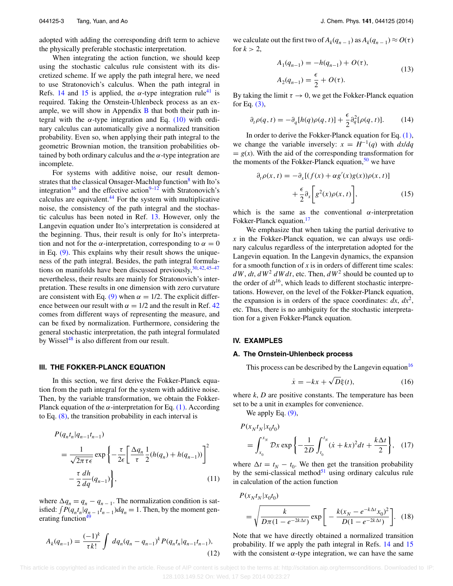adopted with adding the corresponding drift term to achieve the physically preferable stochastic interpretation.

When integrating the action function, we should keep using the stochastic calculus rule consistent with its discretized scheme. If we apply the path integral here, we need to use Stratonovich's calculus. When the path integral in Refs. [14](#page-7-10) and [15](#page-7-8) is applied, the  $\alpha$ -type integration rule<sup>41</sup> is required. Taking the Ornstein-Uhlenbeck process as an example, we will show in Appendix  $\bf{B}$  $\bf{B}$  $\bf{B}$  that both their path integral with the  $\alpha$ -type integration and Eq. [\(10\)](#page-2-3) with ordinary calculus can automatically give a normalized transition probability. Even so, when applying their path integral to the geometric Brownian motion, the transition probabilities obtained by both ordinary calculus and the *α*-type integration are incomplete.

For systems with additive noise, our result demonstrates that the classical Onsager-Machlup function<sup>8</sup> with Ito's integration<sup>16</sup> and the effective action<sup>9–[12](#page-7-4)</sup> with Stratonovich's calculus are equivalent[.44](#page-8-11) For the system with multiplicative noise, the consistency of the path integral and the stochastic calculus has been noted in Ref. [13.](#page-7-7) However, only the Langevin equation under Ito's interpretation is considered at the beginning. Thus, their result is only for Ito's interpretation and not for the  $\alpha$ -interpretation, corresponding to  $\alpha = 0$ in Eq. [\(9\).](#page-2-0) This explains why their result shows the uniqueness of the path integral. Besides, the path integral formulations on manifolds have been discussed previously,  $30, 42, 45-47$  $30, 42, 45-47$  $30, 42, 45-47$  $30, 42, 45-47$ nevertheless, their results are mainly for Stratonovich's interpretation. These results in one dimension with zero curvature are consistent with Eq. [\(9\)](#page-2-0) when  $\alpha = 1/2$ . The explicit difference between our result with  $\alpha = 1/2$  and the result in Ref. [42](#page-8-9) comes from different ways of representing the measure, and can be fixed by normalization. Furthermore, considering the general stochastic interpretation, the path integral formulated by Wissel $48$  is also different from our result.

#### <span id="page-3-0"></span>**III. THE FOKKER-PLANCK EQUATION**

In this section, we first derive the Fokker-Planck equation from the path integral for the system with additive noise. Then, by the variable transformation, we obtain the Fokker-Planck equation of the  $\alpha$ -interpretation for Eq. [\(1\).](#page-1-3) According to Eq.  $(8)$ , the transition probability in each interval is

$$
P(q_n t_n | q_{n-1} t_{n-1})
$$
  
= 
$$
\frac{1}{\sqrt{2\pi \tau \epsilon}} \exp\left\{-\frac{\tau}{2\epsilon} \left[\frac{\Delta q_n}{\tau} \frac{1}{2} (h(q_n) + h(q_{n-1}))\right]^2 - \frac{\tau}{2} \frac{dh}{dq} (q_{n-1})\right\},
$$
 (11)

where  $\Delta q_n = q_n - q_{n-1}$ . The normalization condition is satisfied:  $\int P(q_n t_n | q_{n-1} t_{n-1}) dq_n = 1$ . Then, by the moment generating function<sup>49</sup>

$$
A_k(q_{n-1}) = \frac{(-1)^k}{\tau k!} \int dq_n (q_n - q_{n-1})^k P(q_n t_n | q_{n-1} t_{n-1}),
$$
\n(12)

we calculate out the first two of  $A_k(q_{n-1})$  as  $A_k(q_{n-1}) \approx O(\tau)$ for  $k > 2$ ,

$$
A_1(q_{n-1}) = -h(q_{n-1}) + O(\tau),
$$
  
\n
$$
A_2(q_{n-1}) = \frac{\epsilon}{2} + O(\tau).
$$
\n(13)

By taking the limit  $\tau \to 0$ , we get the Fokker-Planck equation for Eq. [\(3\),](#page-2-1)

$$
\partial_t \rho(q, t) = -\partial_q [h(q)\rho(q, t)] + \frac{\epsilon}{2} \partial_q^2 [\rho(q, t)]. \tag{14}
$$

In order to derive the Fokker-Planck equation for Eq. [\(1\),](#page-1-3) we change the variable inversely:  $x = H^{-1}(q)$  with  $dx/dq$  $= g(x)$ . With the aid of the corresponding transformation for the moments of the Fokker-Planck equation,  $50$  we have

$$
\partial_t \rho(x, t) = -\partial_x [(f(x) + \alpha g'(x)g(x))\rho(x, t)]
$$

$$
+ \frac{\epsilon}{2} \partial_x \left[ g^2(x)\rho(x, t) \right], \tag{15}
$$

which is the same as the conventional  $\alpha$ -interpretation Fokker-Planck equation.<sup>[17](#page-7-11)</sup>

We emphasize that when taking the partial derivative to *x* in the Fokker-Planck equation, we can always use ordinary calculus regardless of the interpretation adopted for the Langevin equation. In the Langevin dynamics, the expansion for a smooth function of  $x$  is in orders of different time scales:  $dW$ ,  $dt$ ,  $dW^2$   $dWdt$ , etc. Then,  $dW^2$  should be counted up to the order of  $dt^{16}$ , which leads to different stochastic interpretations. However, on the level of the Fokker-Planck equation, the expansion is in orders of the space coordinates:  $dx$ ,  $dx^2$ , etc. Thus, there is no ambiguity for the stochastic interpretation for a given Fokker-Planck equation.

# <span id="page-3-1"></span>**IV. EXAMPLES**

### **A. The Ornstein-Uhlenbeck process**

This process can be described by the Langevin equation  $16$ 

$$
\dot{x} = -kx + \sqrt{D}\xi(t),\tag{16}
$$

where *k*, *D* are positive constants. The temperature has been set to be a unit in examples for convenience.

We apply Eq.  $(9)$ ,

$$
P(x_N t_N | x_0 t_0)
$$
  
=  $\int_{x_0}^{x_N} Dx \exp \left\{-\frac{1}{2D} \int_{t_0}^{t_N} (x + kx)^2 dt + \frac{k\Delta t}{2} \right\}, (17)$ 

where  $\Delta t = t_N - t_0$ . We then get the transition probability by the semi-classical method $51$  using ordinary calculus rule in calculation of the action function

<span id="page-3-2"></span>
$$
P(x_N t_N | x_0 t_0)
$$
  
=  $\sqrt{\frac{k}{D\pi (1 - e^{-2k\Delta t})}} \exp\left[-\frac{k(x_N - e^{-k\Delta t} x_0)^2}{D(1 - e^{-2k\Delta t})}\right].$  (18)

Note that we have directly obtained a normalized transition probability. If we apply the path integral in Refs. [14](#page-7-10) and [15](#page-7-8) with the consistent  $\alpha$ -type integration, we can have the same

 This article is copyrighted as indicated in the article. Reuse of AIP content is subject to the terms at: http://scitation.aip.org/termsconditions. Downloaded to IP: 128.103.149.52 On: Wed, 17 Sep 2014 00:23:27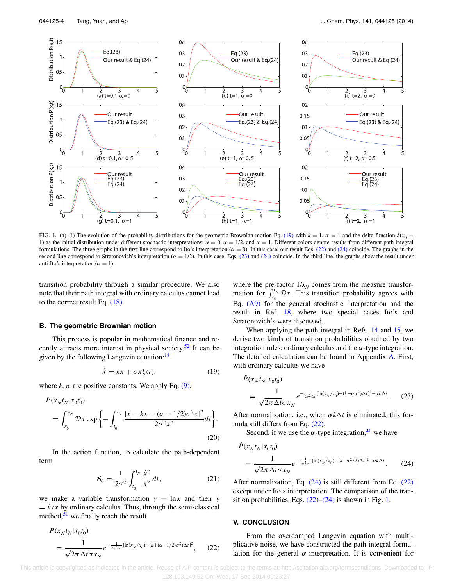<span id="page-4-5"></span>

FIG. 1. (a)–(i) The evolution of the probability distributions for the geometric Brownian motion Eq. [\(19\)](#page-4-1) with  $k = 1$ ,  $\sigma = 1$  and the delta function  $\delta(x_0 - x_0)$ 1) as the initial distribution under different stochastic interpretations:  $\alpha = 0$ ,  $\alpha = 1/2$ , and  $\alpha = 1$ . Different colors denote results from different path integral formulations. The three graphs in the first line correspond to Ito's interpretation ( $\alpha = 0$ ). In this case, our result Eqs. [\(22\)](#page-4-2) and [\(24\)](#page-4-3) coincide. The graphs in the second line correspond to Stratonovich's interpretation ( $\alpha = 1/2$ ). In this case, Eqs. [\(23\)](#page-4-4) and [\(24\)](#page-4-3) coincide. In the third line, the graphs show the result under anti-Ito's interpretation ( $\alpha = 1$ ).

transition probability through a similar procedure. We also note that their path integral with ordinary calculus cannot lead to the correct result Eq. [\(18\).](#page-3-2)

#### **B. The geometric Brownian motion**

This process is popular in mathematical finance and re-cently attracts more interest in physical society.<sup>[52](#page-8-18)</sup> It can be given by the following Langevin equation:<sup>[18](#page-7-12)</sup>

$$
\dot{x} = kx + \sigma x \xi(t),\tag{19}
$$

where  $k$ ,  $\sigma$  are positive constants. We apply Eq. [\(9\),](#page-2-0)

$$
P(x_N t_N | x_0 t_0)
$$
  
=  $\int_{x_0}^{x_N} Dx \exp \left\{-\int_{t_0}^{t_N} \frac{[x - kx - (\alpha - 1/2)\sigma^2 x]^2}{2\sigma^2 x^2} dt\right\}.$  (20)

In the action function, to calculate the path-dependent term

<span id="page-4-2"></span>
$$
\mathbf{S}_0 = \frac{1}{2\sigma^2} \int_{t_0}^{t_N} \frac{\dot{x}^2}{x^2} dt,
$$
 (21)

we make a variable transformation  $y = \ln x$  and then  $\dot{y}$  $= \dot{x}/x$  by ordinary calculus. Thus, through the semi-classical method, $51$  we finally reach the result

$$
P(x_N t_N | x_0 t_0)
$$
  
= 
$$
\frac{1}{\sqrt{2\pi \Delta t} \sigma x_N} e^{-\frac{1}{2\sigma^2 \Delta t} [\ln(x_N/x_0) - (k + (\alpha - 1/2)\sigma^2) \Delta t]^2},
$$
 (22)

where the pre-factor  $1/x_N$  comes from the measure transformation for  $\int_{x_0}^{x_N} \mathcal{D}x$ . This transition probability agrees with Eq.  $(A9)$  for the general stochastic interpretation and the result in Ref. [18,](#page-7-12) where two special cases Ito's and Stratonovich's were discussed.

When applying the path integral in Refs. [14](#page-7-10) and [15,](#page-7-8) we derive two kinds of transition probabilities obtained by two integration rules: ordinary calculus and the *α*-type integration. The detailed calculation can be found in Appendix [A.](#page-5-0) First, with ordinary calculus we have

<span id="page-4-4"></span><span id="page-4-1"></span>
$$
\hat{P}(x_N t_N | x_0 t_0) = \frac{1}{\sqrt{2\pi \Delta t} \sigma x_N} e^{-\frac{1}{2\sigma^2 \Delta t} [\ln(x_N/x_0) - (k - \alpha \sigma^2) \Delta t]^2 - \alpha k \Delta t}.
$$
 (23)

After normalization, i.e., when *αkt* is eliminated, this formula still differs from Eq. [\(22\).](#page-4-2)

<span id="page-4-3"></span>Second, if we use the  $\alpha$ -type integration,<sup>[41](#page-8-8)</sup> we have

$$
\hat{P}(x_N t_N | x_0 t_0)
$$
\n
$$
= \frac{1}{\sqrt{2\pi \Delta t} \sigma x_N} e^{-\frac{1}{2\sigma^2 \Delta t} [\ln(x_N/x_0) - (k - \sigma^2/2)\Delta t]^2 - \alpha k \Delta t}.
$$
\n(24)

After normalization, Eq. [\(24\)](#page-4-3) is still different from Eq. [\(22\)](#page-4-2) except under Ito's interpretation. The comparison of the transition probabilities, Eqs.  $(22)$ – $(24)$  is shown in Fig. [1.](#page-4-5)

#### <span id="page-4-0"></span>**V. CONCLUSION**

From the overdamped Langevin equation with multiplicative noise, we have constructed the path integral formulation for the general *α*-interpretation. It is convenient for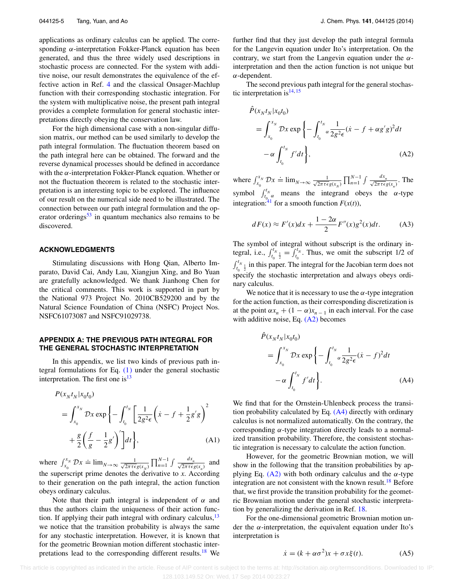applications as ordinary calculus can be applied. The corresponding *α*-interpretation Fokker-Planck equation has been generated, and thus the three widely used descriptions in stochastic process are connected. For the system with additive noise, our result demonstrates the equivalence of the effective action in Ref. [4](#page-7-6) and the classical Onsager-Machlup function with their corresponding stochastic integration. For the system with multiplicative noise, the present path integral provides a complete formulation for general stochastic interpretations directly obeying the conservation law.

For the high dimensional case with a non-singular diffusion matrix, our method can be used similarly to develop the path integral formulation. The fluctuation theorem based on the path integral here can be obtained. The forward and the reverse dynamical processes should be defined in accordance with the *α*-interpretation Fokker-Planck equation. Whether or not the fluctuation theorem is related to the stochastic interpretation is an interesting topic to be explored. The influence of our result on the numerical side need to be illustrated. The connection between our path integral formulation and the op-erator orderings<sup>[53](#page-8-19)</sup> in quantum mechanics also remains to be discovered.

#### **ACKNOWLEDGMENTS**

Stimulating discussions with Hong Qian, Alberto Imparato, David Cai, Andy Lau, Xiangjun Xing, and Bo Yuan are gratefully acknowledged. We thank Jianhong Chen for the critical comments. This work is supported in part by the National 973 Project No. 2010CB529200 and by the Natural Science Foundation of China (NSFC) Project Nos. NSFC61073087 and NSFC91029738.

# <span id="page-5-0"></span>**APPENDIX A: THE PREVIOUS PATH INTEGRAL FOR THE GENERAL STOCHASTIC INTERPRETATION**

In this appendix, we list two kinds of previous path integral formulations for Eq.  $(1)$  under the general stochastic interpretation. The first one is  $13$ 

$$
P(x_N t_N | x_0 t_0)
$$
  
=  $\int_{x_0}^{x_N} \mathcal{D}x \exp \left\{-\int_{t_0}^{t_N} \left[\frac{1}{2g^2 \epsilon} \left(\dot{x} - f + \frac{1}{2} g' g\right)^2 + \frac{g}{2} \left(\frac{f}{g} - \frac{1}{2} g'\right)'\right] dt\right\},$  (A1)

where  $\int_{x_0}^{x_N} \mathcal{D}x \doteq \lim_{N \to \infty} \frac{1}{\sqrt{2\pi \tau \epsilon}}$  $\frac{1}{2\pi\tau\epsilon g(x_N)}$   $\prod_{n=1}^{N-1}$  *f*  $\frac{dx_n}{\sqrt{2\pi\tau\epsilon g(x_n)}}$  and the superscript prime denotes the derivative to *x*. According to their generation on the path integral, the action function obeys ordinary calculus.

Note that their path integral is independent of  $\alpha$  and thus the authors claim the uniqueness of their action function. If applying their path integral with ordinary calculus,  $13$ we notice that the transition probability is always the same for any stochastic interpretation. However, it is known that for the geometric Brownian motion different stochastic interpretations lead to the corresponding different results.<sup>18</sup> We further find that they just develop the path integral formula for the Langevin equation under Ito's interpretation. On the contrary, we start from the Langevin equation under the *α*interpretation and then the action function is not unique but *α*-dependent.

The second previous path integral for the general stochastic interpretation is  $14, 15$  $14, 15$  $14, 15$ 

<span id="page-5-1"></span>
$$
\hat{P}(x_N t_N | x_0 t_0)
$$
\n
$$
= \int_{x_0}^{x_N} \mathcal{D}x \exp\left\{-\int_{t_0}^{t_N} \alpha \frac{1}{2g^2 \epsilon} (\dot{x} - f + \alpha g' g)^2 dt -\alpha \int_{t_0}^{t_N} f' dt\right\},
$$
\n(A2)

where  $\int_{x_0}^{x_N} \mathcal{D}x \doteq \lim_{N \to \infty} \frac{1}{\sqrt{2\pi \tau \epsilon}}$  $\frac{1}{2\pi\tau\epsilon g(x_N)}$   $\prod_{n=1}^{N-1}$   $\int \frac{dx_n}{\sqrt{2\pi\tau\epsilon g(x_n)}}$ . The symbol  $\int_{t_{0}^{1}}^{t_{N}}$  means the integrand obeys the *α*-type integration:<sup>[41](#page-8-8)</sup> for a smooth function  $F(x(t))$ ,

<span id="page-5-3"></span>
$$
dF(x) \approx F'(x)dx + \frac{1-2\alpha}{2}F''(x)g^{2}(x)dt.
$$
 (A3)

The symbol of integral without subscript is the ordinary integral, i.e.,  $\int_{t_0}^{t_N} \frac{1}{2} = \int_{t_0}^{t_N}$ . Thus, we omit the subscript 1/2 of  $\int_{t_0}^{t_{N}} \frac{1}{2}$  in this paper. The integral for the Jacobian term does not specify the stochastic interpretation and always obeys ordinary calculus.

We notice that it is necessary to use the  $\alpha$ -type integration for the action function, as their corresponding discretization is at the point  $\alpha x_n + (1 - \alpha)x_{n-1}$  in each interval. For the case with additive noise, Eq. [\(A2\)](#page-5-1) becomes

<span id="page-5-2"></span>
$$
\hat{P}(x_{N}t_{N}|x_{0}t_{0})
$$
\n
$$
= \int_{x_{0}}^{x_{N}} \mathcal{D}x \exp\left\{-\int_{t_{0}}^{t_{N}} \alpha \frac{1}{2g^{2}\epsilon}(\dot{x} - f)^{2}dt -\alpha \int_{t_{0}}^{t_{N}} f'dt\right\}.
$$
\n(A4)

We find that for the Ornstein-Uhlenbeck process the transition probability calculated by Eq. [\(A4\)](#page-5-2) directly with ordinary calculus is not normalized automatically. On the contrary, the corresponding *α*-type integration directly leads to a normalized transition probability. Therefore, the consistent stochastic integration is necessary to calculate the action function.

However, for the geometric Brownian motion, we will show in the following that the transition probabilities by applying Eq.  $(A2)$  with both ordinary calculus and the  $\alpha$ -type integration are not consistent with the known result.<sup>[18](#page-7-12)</sup> Before that, we first provide the transition probability for the geometric Brownian motion under the general stochastic interpretation by generalizing the derivation in Ref. [18.](#page-7-12)

For the one-dimensional geometric Brownian motion under the *α*-interpretation, the equivalent equation under Ito's interpretation is

<span id="page-5-4"></span>
$$
\dot{x} = (k + \alpha \sigma^2)x + \sigma x \xi(t). \tag{A5}
$$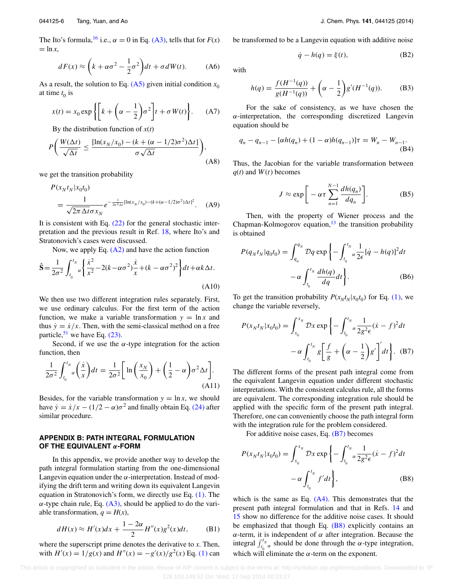The Ito's formula,<sup>[16](#page-7-9)</sup> i.e.,  $\alpha = 0$  in Eq. [\(A3\),](#page-5-3) tells that for  $F(x)$  $=$  ln  $x$ ,

$$
dF(x) \approx \left(k + \alpha \sigma^2 - \frac{1}{2}\sigma^2\right)dt + \sigma dW(t). \tag{A6}
$$

As a result, the solution to Eq.  $(A5)$  given initial condition  $x_0$ at time  $t_0$  is

$$
x(t) = x_0 \exp\left\{ \left[ k + \left( \alpha - \frac{1}{2} \right) \sigma^2 \right] t + \sigma W(t) \right\}.
$$
 (A7)

By the distribution function of  $x(t)$ 

$$
P\left(\frac{W(\Delta t)}{\sqrt{\Delta t}} \le \frac{[\ln(x_N/x_0) - (k + (\alpha - 1/2)\sigma^2)\Delta t]}{\sigma\sqrt{\Delta t}}\right),\tag{A8}
$$

we get the transition probability

<span id="page-6-1"></span>
$$
P(x_N t_N | x_0 t_0)
$$
  
= 
$$
\frac{1}{\sqrt{2\pi \Delta t} \sigma x_N} e^{-\frac{1}{2\sigma^2 \Delta t} [\ln(x_N/x_0) - (k + (\alpha - 1/2)\sigma^2) \Delta t]^2}
$$
. (A9)

It is consistent with Eq. [\(22\)](#page-4-2) for the general stochastic interpretation and the previous result in Ref. [18,](#page-7-12) where Ito's and Stratonovich's cases were discussed.

Now, we apply Eq.  $(A2)$  and have the action function

$$
\hat{\mathbf{S}} = \frac{1}{2\sigma^2} \int_{t_0}^{t_N} \alpha \left\{ \frac{\dot{x}^2}{x^2} - 2(k - \alpha \sigma^2) \frac{\dot{x}}{x} + (k - \alpha \sigma^2)^2 \right\} dt + \alpha k \Delta t.
$$
\n(A10)

We then use two different integration rules separately. First, we use ordinary calculus. For the first term of the action function, we make a variable transformation  $y = \ln x$  and thus  $\dot{y} = \dot{x}/x$ . Then, with the semi-classical method on a free particle,  $51$  we have Eq. [\(23\).](#page-4-4)

Second, if we use the  $\alpha$ -type integration for the action function, then

$$
\frac{1}{2\sigma^2} \int_{t_0}^{t_N} \alpha \left(\frac{\dot{x}}{x}\right) dt = \frac{1}{2\sigma^2} \left[ \ln \left(\frac{x_N}{x_0}\right) + \left(\frac{1}{2} - \alpha\right) \sigma^2 \Delta t \right].
$$
\n(A11)

Besides, for the variable transformation  $y = \ln x$ , we should have  $\dot{y} = \dot{x}/x - (1/2 - \alpha)\sigma^2$  and finally obtain Eq. [\(24\)](#page-4-3) after similar procedure.

# <span id="page-6-0"></span>**APPENDIX B: PATH INTEGRAL FORMULATION OF THE EQUIVALENT** *α***-FORM**

In this appendix, we provide another way to develop the path integral formulation starting from the one-dimensional Langevin equation under the *α*-interpretation. Instead of modifying the drift term and writing down its equivalent Langevin equation in Stratonovich's form, we directly use Eq. [\(1\).](#page-1-3) The  $\alpha$ -type chain rule, Eq.  $(A3)$ , should be applied to do the variable transformation,  $q = H(x)$ ,

$$
dH(x) \approx H'(x)dx + \frac{1-2\alpha}{2}H''(x)g^{2}(x)dt, \qquad (B1)
$$

where the superscript prime denotes the derivative to *x*. Then, with  $H'(x) = 1/g(x)$  and  $H''(x) = -g'(x)/g^2(x)$  Eq. [\(1\)](#page-1-3) can be transformed to be a Langevin equation with additive noise

$$
\dot{q} - h(q) = \xi(t),\tag{B2}
$$

with

$$
h(q) = \frac{f(H^{-1}(q))}{g(H^{-1}(q))} + \left(\alpha - \frac{1}{2}\right)g'(H^{-1}(q)).
$$
 (B3)

For the sake of consistency, as we have chosen the *α*-interpretation, the corresponding discretized Langevin equation should be

$$
q_n - q_{n-1} - [\alpha h(q_n) + (1 - \alpha)h(q_{n-1})]\tau = W_n - W_{n-1}.
$$
\n(B4)

Thus, the Jacobian for the variable transformation between  $q(t)$  and  $W(t)$  becomes

$$
J \approx \exp\bigg[-\alpha \tau \sum_{n=1}^{N-1} \frac{dh(q_n)}{dq_n}\bigg].
$$
 (B5)

Then, with the property of Wiener process and the Chapman-Kolmogorov equation, $^{13}$  the transition probability is obtained

$$
P(q_N t_N | q_0 t_0) = \int_{q_0}^{q_N} Dq \exp\left\{-\int_{t_0}^{t_N} \frac{1}{2\epsilon} [\dot{q} - h(q)]^2 dt -\alpha \int_{t_0}^{t_N} \frac{dh(q)}{dq} dt\right\}.
$$
 (B6)

To get the transition probability  $P(x_N t_N | x_0 t_0)$  for Eq. [\(1\),](#page-1-3) we change the variable reversely,

<span id="page-6-2"></span>
$$
P(x_N t_N | x_0 t_0) = \int_{x_0}^{x_N} \mathcal{D}x \exp \left\{ - \int_{t_0}^{t_N} \alpha \frac{1}{2g^2 \epsilon} (\dot{x} - f)^2 dt - \alpha \int_{t_0}^{t_N} g \left[ \frac{f}{g} + \left( \alpha - \frac{1}{2} \right) g' \right] dt \right\}. \tag{B7}
$$

The different forms of the present path integral come from the equivalent Langevin equation under different stochastic interpretations. With the consistent calculus rule, all the forms are equivalent. The corresponding integration rule should be applied with the specific form of the present path integral. Therefore, one can conveniently choose the path integral form with the integration rule for the problem considered.

<span id="page-6-3"></span>For additive noise cases, Eq.  $(B7)$  becomes

$$
P(x_N t_N | x_0 t_0) = \int_{x_0}^{x_N} \mathcal{D}x \exp \left\{ - \int_{t_0}^{t_N} \frac{1}{2g^2 \epsilon} (\dot{x} - f)^2 dt - \alpha \int_{t_0}^{t_N} f' dt \right\},
$$
 (B8)

which is the same as Eq.  $(A4)$ . This demonstrates that the present path integral formulation and that in Refs. [14](#page-7-10) and [15](#page-7-8) show no difference for the additive noise cases. It should be emphasized that though Eq. [\(B8\)](#page-6-3) explicitly contains an *α*-term, it is independent of *α* after integration. Because the integral  $\int_{t_0}^{t_N} \alpha$  should be done through the  $\alpha$ -type integration, which will eliminate the  $\alpha$ -term on the exponent.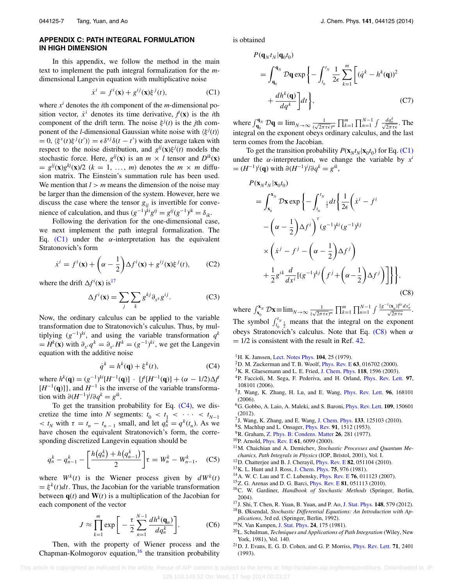## <span id="page-7-16"></span>**APPENDIX C: PATH INTEGRAL FORMULATION IN HIGH DIMENSION**

In this appendix, we follow the method in the main text to implement the path integral formalization for the *m*dimensional Langevin equation with multiplicative noise

$$
\dot{x}^i = f^i(\mathbf{x}) + g^{ij}(\mathbf{x})\xi^j(t),\tag{C1}
$$

where  $x^i$  denotes the *i*th component of the *m*-dimensional position vector,  $\dot{x}$ <sup>*i*</sup> denotes its time derivative,  $\dot{f}(\mathbf{x})$  is the *i*th component of the drift term. The noise  $\xi^{j}(t)$  is the *j*th component of the *l*-dimensional Gaussian white noise with  $\langle \xi^{j}(t) \rangle$  $= 0$ ,  $\langle \xi^s(t) \xi^j(t') \rangle = \epsilon \delta^{sj} \delta(t - t')$  with the average taken with respect to the noise distribution, and  $g^{ij}(\mathbf{x})\xi^{j}(t)$  models the stochastic force. Here,  $g^{ij}(\mathbf{x})$  is an  $m \times l$  tensor and  $D^{ik}(\mathbf{x})$  $= g^{ij}(\mathbf{x})g^{kj}(\mathbf{x})/2$  ( $k = 1, \ldots, m$ ) denotes the  $m \times m$  diffusion matrix. The Einstein's summation rule has been used. We mention that  $l > m$  means the dimension of the noise may be larger than the dimension of the system. However, here we discuss the case where the tensor  $g_{ij}$  is invertible for convenience of calculation, and thus  $(g^{-1})^{ki}g^{ij} = g^{ij}(g^{-1})^{jk} = \delta_{ik}$ .

Following the derivation for the one-dimensional case, we next implement the path integral formalization. The Eq.  $(C1)$  under the  $\alpha$ -interpretation has the equivalent Stratonovich's form

$$
\dot{x}^i = f^i(\mathbf{x}) + \left(\alpha - \frac{1}{2}\right) \Delta f^i(\mathbf{x}) + g^{ij}(\mathbf{x}) \xi^j(t), \qquad \text{(C2)}
$$

where the drift  $\Delta f^i(\mathbf{x})$  is<sup>[17](#page-7-11)</sup>

$$
\Delta f^i(\mathbf{x}) = \sum_j \sum_k g^{kj} \partial_{x^k} g^{ij}.
$$
 (C3)

Now, the ordinary calculus can be applied to the variable transformation due to Stratonovich's calculus. Thus, by multiplying (*g*−1) *ki*, and using the variable transformation *qk*  $= H^k(\mathbf{x})$  with  $\partial_{x^i} q^k = \partial_{x^i} H^k = (g^{-1})^{ki}$ , we get the Langevin equation with the additive noise

$$
\dot{q}^k = h^k(\mathbf{q}) + \xi^k(t),\tag{C4}
$$

where  $h^k(\mathbf{q}) = (g^{-1})^{ki}[H^{-1}(\mathbf{q})] \cdot \{f^i[H^{-1}(\mathbf{q})] + (\alpha - 1/2)\Delta f^i\}$  $[H^{-1}(\mathbf{q})]$ , and  $H^{-1}$  is the inverse of the variable transformation with  $\partial (H^{-1})^i / \partial q^k = g^{ik}$ .

To get the transition probability for Eq.  $(C4)$ , we discretize the time into *N* segments:  $t_0 < t_1 < \cdots < t_{N-1}$  $lt$  *t<sub>N</sub>* with  $\tau = t_n - t_{n-1}$  small, and let  $q_n^k = q^k(t_n)$ . As we have chosen the equivalent Stratonovich's form, the corresponding discretized Langevin equation should be

$$
q_n^k - q_{n-1}^k - \left[ \frac{h(q_n^k) + h(q_{n-1}^k)}{2} \right] \tau = W_n^k - W_{n-1}^k, \quad (C5)
$$

where  $W^k(t)$  is the Wiener process given by  $dW^k(t)$  $= \xi^{k}(t)dt$ . Thus, the Jacobian for the variable transformation between  $q(t)$  and  $W(t)$  is a multiplication of the Jacobian for each component of the vector

$$
J \approx \prod_{k=1}^{m} \exp\bigg[-\frac{\tau}{2} \sum_{n=1}^{N-1} \frac{dh^{k}(\mathbf{q}_{n})}{dq_{n}^{k}}\bigg].
$$
 (C6)

Then, with the property of Wiener process and the Chapman-Kolmogorov equation, $16$  the transition probability is obtained

 $P(\mathbf{q}_M t_M | \mathbf{q}_0 t_0)$ 

$$
= \int_{\mathbf{q}_0}^{\mathbf{q}_N} \mathcal{D}\mathbf{q} \exp\left\{-\int_{t_0}^{t_N} \frac{1}{2\epsilon} \sum_{k=1}^m \left[ (q^k - h^k(\mathbf{q}))^2 + \frac{dh^k(\mathbf{q})}{dq^k} \right] dt \right\},
$$
\n(C7)

<span id="page-7-18"></span>where  $\int_{\mathbf{q}_0}^{\mathbf{q}_N} \mathcal{D}\mathbf{q} \equiv \lim_{N \to \infty} \frac{1}{(\sqrt{2\pi \tau \epsilon})^m} \prod_{k=1}^m \prod_{n=1}^{N-1} \int \frac{dq_n^k}{\sqrt{2\pi \tau \epsilon}}$ . The integral on the exponent obeys ordinary calculus, and the last term comes from the Jacobian.

To get the transition probability  $P(\mathbf{x}_{N}t_{N}|\mathbf{x}_{0}t_{0})$  for Eq. [\(C1\)](#page-7-18) under the  $\alpha$ -interpretation, we change the variable by  $x^i$  $= (H^{-1})^i$ (**q**) with  $\partial (H^{-1})^i / \partial q^k = g^{ik}$ ,

<span id="page-7-20"></span>
$$
P(\mathbf{x}_{N}t_{N}|\mathbf{x}_{0}t_{0})
$$
\n
$$
= \int_{\mathbf{x}_{0}}^{\mathbf{x}_{N}} \mathcal{D}\mathbf{x} \exp\left\{-\int_{t_{0}}^{t_{N}} \frac{1}{2} dt \left\{\frac{1}{2\epsilon} \left(\dot{x}^{i} - f^{i}\right) - \left(\alpha - \frac{1}{2}\right) \Delta f^{i}\right\}^{t} (g^{-1})^{ki} (g^{-1})^{kj}\right\}
$$
\n
$$
\times \left(\dot{x}^{j} - f^{j} - \left(\alpha - \frac{1}{2}\right) \Delta f^{j}\right)
$$
\n
$$
+ \frac{1}{2} g^{ik} \frac{d}{dx^{i}} [(g^{-1})^{kj} \left(f^{j} + \left(\alpha - \frac{1}{2}\right) \Delta f^{j}\right)]\right\}, \quad (C8)
$$

where  $\int_{\mathbf{x}_0}^{\mathbf{x}_N} \mathcal{D}\mathbf{x} \equiv \lim_{N \to \infty} \frac{1}{(\sqrt{2\pi \tau \epsilon})^m} \prod_{k=1}^m \prod_{n=1}^{N-1} \int \frac{[g^{-1}(\mathbf{x}_n)]^{ki} dx_n^i}{\sqrt{2\pi \tau \epsilon}}$ . The symbol  $\int_{t_0}^{t} \frac{1}{2}$  means that the integral on the exponent obeys Stratonovich's calculus. Note that Eq. [\(C8\)](#page-7-20) when *α*  $= 1/2$  is consistent with the result in Ref. [42.](#page-8-9)

- <span id="page-7-5"></span><span id="page-7-0"></span>1H. K. Janssen, [Lect. Notes Phys.](http://dx.doi.org/10.1007/3-540-09523-3_2) **104**, 25 (1979).
- <span id="page-7-19"></span>2D. M. Zuckerman and T. B. Woolf, [Phys. Rev. E](http://dx.doi.org/10.1103/PhysRevE.63.016702) **63**, 016702 (2000).
- <span id="page-7-6"></span>3K. R. Glaesemann and L. E. Fried, [J. Chem. Phys.](http://dx.doi.org/10.1063/1.1529682) **118**, 1596 (2003).
- 4P. Faccioli, M. Sega, F. Pederiva, and H. Orland, [Phys. Rev. Lett.](http://dx.doi.org/10.1103/PhysRevLett.97.108101) **97**, 108101 (2006).
- 5J. Wang, K. Zhang, H. Lu, and E. Wang, [Phys. Rev. Lett.](http://dx.doi.org/10.1103/PhysRevLett.96.168101) **96**, 168101 (2006).
- 6G. Gobbo, A. Laio, A. Maleki, and S. Baroni, [Phys. Rev. Lett.](http://dx.doi.org/10.1103/PhysRevLett.109.150601) **109**, 150601 (2012).
- <span id="page-7-2"></span><span id="page-7-1"></span>7J. Wang, K. Zhang, and E. Wang, [J. Chem. Phys.](http://dx.doi.org/10.1063/1.3478547) **133**, 125103 (2010).
- <span id="page-7-3"></span>8S. Machlup and L. Onsager, [Phys. Rev.](http://dx.doi.org/10.1103/PhysRev.91.1512) **91**, 1512 (1953).
- 9R. Graham, [Z. Phys. B: Condens. Matter](http://dx.doi.org/10.1007/BF01312935) **26**, 281 (1977).
- <span id="page-7-17"></span>10P. Arnold, [Phys. Rev. E](http://dx.doi.org/10.1103/PhysRevE.61.6099) **61**, 6099 (2000).
- 11M. Chaichian and A. Demichev, *Stochastic Processes and Quantum Mechanics, Path Integrals in Physics* (IOP, Bristol, 2001), Vol. I.
- <span id="page-7-7"></span><span id="page-7-4"></span>12D. Chatterjee and B. J. Cherayil, [Phys. Rev. E](http://dx.doi.org/10.1103/PhysRevE.82.051104) **82**, 051104 (2010).
- <span id="page-7-10"></span>13K. L. Hunt and J. Ross, [J. Chem. Phys.](http://dx.doi.org/10.1063/1.442098) **75**, 976 (1981).
- <span id="page-7-8"></span>14A. W. C. Lau and T. C. Lubensky, [Phys. Rev. E](http://dx.doi.org/10.1103/PhysRevE.76.011123) **76**, 011123 (2007).
- <span id="page-7-9"></span>15Z. G. Arenas and D. G. Barci, [Phys. Rev. E](http://dx.doi.org/10.1103/PhysRevE.81.051113) **81**, 051113 (2010).
- 16C. W. Gardiner, *Handbook of Stochastic Methods* (Springer, Berlin, 2004).
- <span id="page-7-12"></span><span id="page-7-11"></span>17J. Shi, T. Chen, R. Yuan, B. Yuan, and P. Ao, [J. Stat. Phys.](http://dx.doi.org/10.1007/s10955-012-0532-8) **148**, 579 (2012).
- 18B. Øksendal, *Stochastic Differential Equations: An Introduction with Applications*, 3rd ed. (Springer, Berlin, 1992).
- <span id="page-7-13"></span>19N. Van Kampen, [J. Stat. Phys.](http://dx.doi.org/10.1007/BF01007642) **24**, 175 (1981).
- <span id="page-7-14"></span>20L. Schulman, *Techniques and Applications of Path Integration* (Wiley, New York, 1981), Vol. 140.
- <span id="page-7-15"></span>21D. J. Evans, E. G. D. Cohen, and G. P. Morriss, [Phys. Rev. Lett.](http://dx.doi.org/10.1103/PhysRevLett.71.2401) **71**, 2401 (1993).